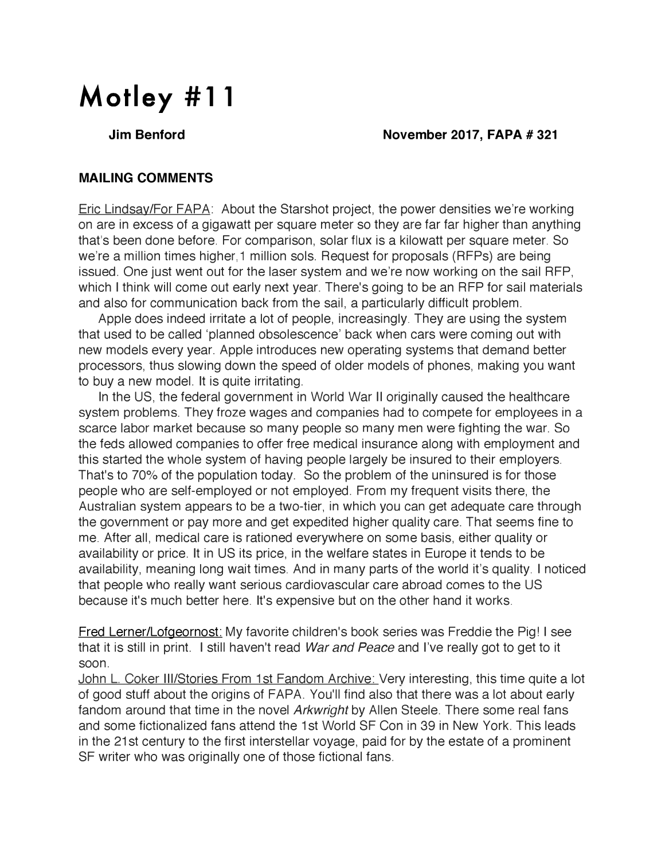# **Motley #11**

### **Jim Benford November 2017, FAPA # 321**

## **MAILING COMMENTS**

Eric Lindsay/For FAPA: About the Starshot project, the power densities we're working on are in excess of a gigawatt per square meter so they are far far higher than anything that's been done before. For comparison, solar flux is a kilowatt per square meter. So we're a million times higher,1 million sols. Request for proposals (RFPs) are being issued. One just went out for the laser system and we're now working on the sail RFP, which <sup>I</sup> think will come out early next year. There's going to be an RFP for sail materials and also for communication back from the sail, a particularly difficult problem.

Apple does indeed irritate a lot of people, increasingly. They are using the system that used to be called 'planned obsolescence' back when cars were coming out with new models every year. Apple introduces new operating systems that demand better processors, thus slowing down the speed of older models of phones, making you want to buy a new model. It is quite irritating.

In the US, the federal government in World War II originally caused the healthcare system problems. They froze wages and companies had to compete for employees in a scarce labor market because so many people so many men were fighting the war. So the feds allowed companies to offer free medical insurance along with employment and this started the whole system of having people largely be insured to their employers. That's to 70% of the population today. So the problem of the uninsured is for those people who are self-employed or not employed. From my frequent visits there, the Australian system appears to be a two-tier, in which you can get adequate care through the government or pay more and get expedited higher quality care. That seems fine to me. After all, medical care is rationed everywhere on some basis, either quality or availability or price. It in US its price, in the welfare states in Europe it tends to be availability, meaning long wait times. And in many parts of the world it's quality. <sup>I</sup> noticed that people who really want serious cardiovascular care abroad comes to the US because it's much better here. It's expensive but on the other hand it works.

Fred Lerner/Lofgeornost: My favorite children's book series was Freddie the Pig! <sup>I</sup> see that it is still in print. <sup>I</sup> still haven't read *War and Peace* and I've really got to get to it soon.

John L. Coker III/Stories From 1st Fandom Archive: Very interesting, this time quite a lot of good stuff about the origins of FAPA. You'll find also that there was a lot about early fandom around that time in the novel *Arkwright* by Allen Steele. There some real fans and some fictionalized fans attend the 1st World SF Con in 39 in New York. This leads in the 21st century to the first interstellar voyage, paid for by the estate of a prominent SF writer who was originally one of those fictional fans.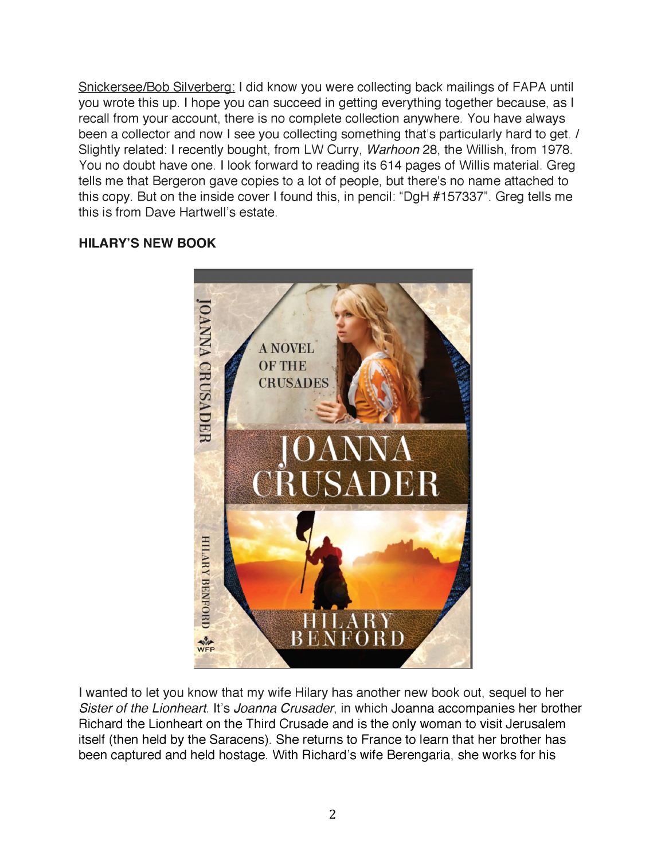Snickersee/Bob Silverberg: <sup>I</sup> did know you were collecting back mailings of FAPA until you wrote this up. <sup>I</sup> hope you can succeed in getting everything together because, as <sup>I</sup> recall from your account, there is no complete collection anywhere. You have always been a collector and now <sup>I</sup> see you collecting something that's particularly hard to get. / Slightly related: <sup>I</sup> recently bought, from LW Curry, *Warhoon* 28, the Willish, from 1978. You no doubt have one. <sup>I</sup> look forward to reading its 614 pages of Willis material. Greg tells me that Bergeron gave copies to a lot of people, but there's no name attached to this copy. But on the inside cover <sup>I</sup> found this, in pencil: "DgH #157337". Greg tells me this is from Dave Hartwell's estate.

# **HILARY'S NEW BOOK**



<sup>I</sup> wanted to let you know that my wife Hilary has another new book out, sequel to her *Sister of the Lionheart*. It's *Joanna Crusader*, in which Joanna accompanies her brother Richard the Lionheart on the Third Crusade and is the only woman to visit Jerusalem itself (then held by the Saracens). She returns to France to learn that her brother has been captured and held hostage. With Richard's wife Berengaria, she works for his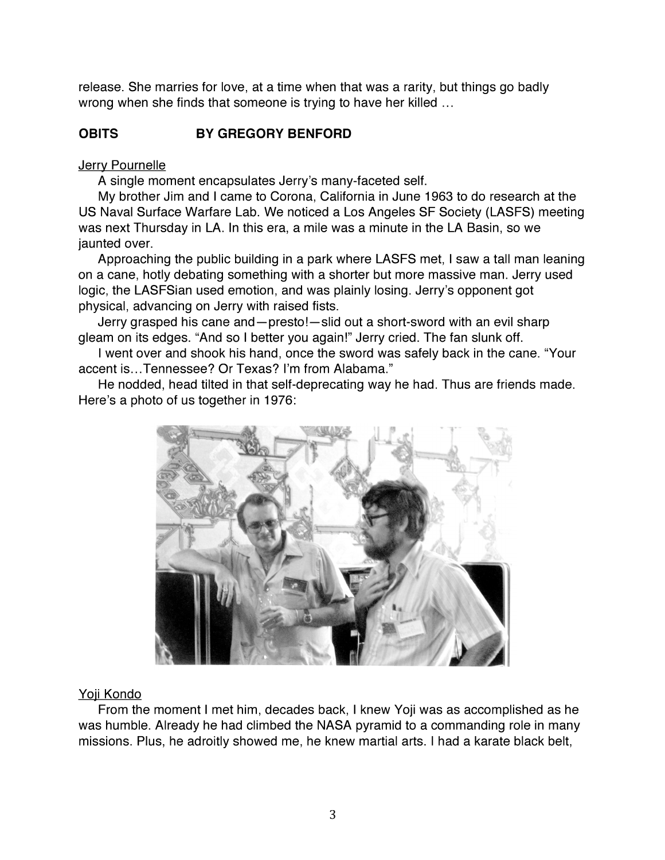release. She marries for love, at a time when that was a rarity, but things go badly wrong when she finds that someone is trying to have her killed ...

# **OBITS BY GREGORY BENFORD**

#### Jerry Pournelle

A single moment encapsulates Jerry's many-faceted self.

My brother Jim and <sup>I</sup> came to Corona, California in June 1963 to do research at the US Naval Surface Warfare Lab. We noticed a Los Angeles SF Society (LASFS) meeting was next Thursday in LA. In this era, a mile was a minute in the LA Basin, so we jaunted over.

Approaching the public building in a park where LASFS met, <sup>I</sup> saw a tall man leaning on a cane, hotly debating something with a shorter but more massive man. Jerry used logic, the LASFSian used emotion, and was plainly losing. Jerry's opponent got physical, advancing on Jerry with raised fists.

Jerry grasped his cane and—presto!—slid out a short-sword with an evil sharp gleam on its edges. "And so <sup>I</sup> better you again!" Jerry cried. The fan slunk off.

<sup>I</sup> went over and shook his hand, once the sword was safely back in the cane. "Your accent is...Tennessee? Or Texas? I'm from Alabama."

He nodded, head tilted in that self-deprecating way he had. Thus are friends made. Here's a photo of us together in 1976:



#### Yoji Kondo

From the moment <sup>I</sup> met him, decades back, <sup>I</sup> knew Yoji was as accomplished as he was humble. Already he had climbed the NASA pyramid to a commanding role in many missions. Plus, he adroitly showed me, he knew martial arts. <sup>I</sup> had a karate black belt,